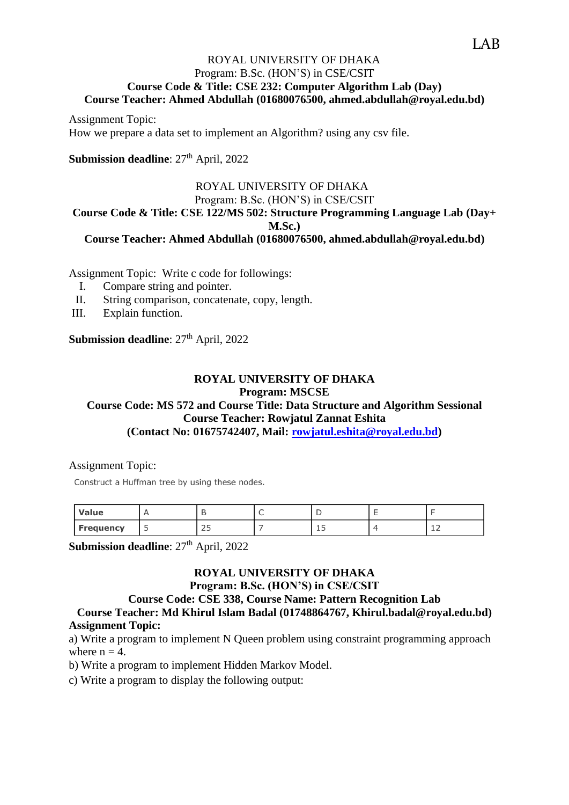# ROYAL UNIVERSITY OF DHAKA Program: B.Sc. (HON'S) in CSE/CSIT **Course Code & Title: CSE 232: Computer Algorithm Lab (Day) Course Teacher: Ahmed Abdullah (01680076500, ahmed.abdullah@royal.edu.bd)**

Assignment Topic: How we prepare a data set to implement an Algorithm? using any csv file.

**Submission deadline**:  $27<sup>th</sup>$  April, 2022

#### ROYAL UNIVERSITY OF DHAKA Program: B.Sc. (HON'S) in CSE/CSIT

# **Course Code & Title: CSE 122/MS 502: Structure Programming Language Lab (Day+ M.Sc.)**

**Course Teacher: Ahmed Abdullah (01680076500, ahmed.abdullah@royal.edu.bd)**

Assignment Topic: Write c code for followings:

- I. Compare string and pointer.
- II. String comparison, concatenate, copy, length.
- III. Explain function.

**Submission deadline**:  $27<sup>th</sup>$  April, 2022

# **ROYAL UNIVERSITY OF DHAKA Program: MSCSE**

# **Course Code: MS 572 and Course Title: Data Structure and Algorithm Sessional Course Teacher: Rowjatul Zannat Eshita**

**(Contact No: 01675742407, Mail: [rowjatul.eshita@royal.edu.bd\)](mailto:rowjatul.eshita@royal.edu.bd)**

Assignment Topic:

Construct a Huffman tree by using these nodes.

| Value            |          |   |            |
|------------------|----------|---|------------|
| <b>Frequency</b> | - -<br>ت | ᅩ | <u>+ ←</u> |

**Submission deadline**:  $27<sup>th</sup>$  April, 2022

# **ROYAL UNIVERSITY OF DHAKA**

## **Program: B.Sc. (HON'S) in CSE/CSIT**

# **Course Code: CSE 338, Course Name: Pattern Recognition Lab**

**Course Teacher: Md Khirul Islam Badal (01748864767, Khirul.badal@royal.edu.bd) Assignment Topic:**

a) Write a program to implement N Queen problem using constraint programming approach where  $n = 4$ .

b) Write a program to implement Hidden Markov Model.

c) Write a program to display the following output: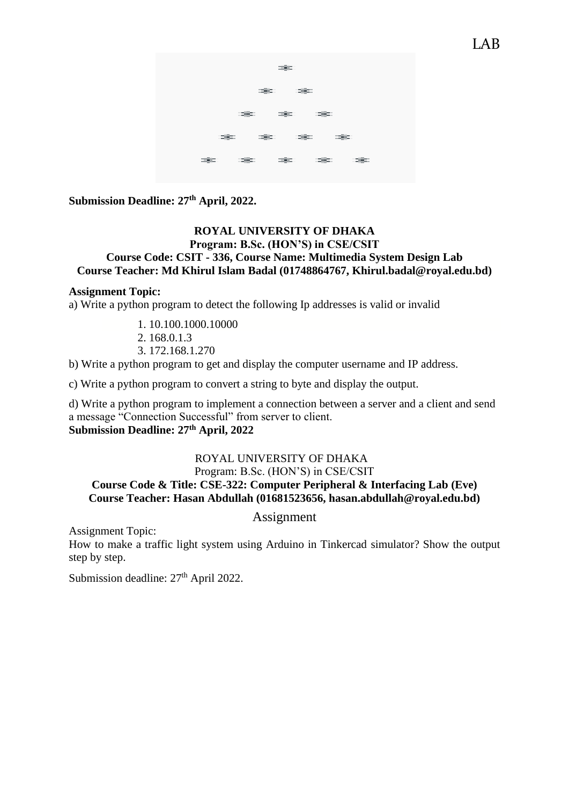

**Submission Deadline: 27th April, 2022.**

## **ROYAL UNIVERSITY OF DHAKA Program: B.Sc. (HON'S) in CSE/CSIT Course Code: CSIT - 336, Course Name: Multimedia System Design Lab Course Teacher: Md Khirul Islam Badal (01748864767, Khirul.badal@royal.edu.bd)**

#### **Assignment Topic:**

a) Write a python program to detect the following Ip addresses is valid or invalid

- 1. 10.100.1000.10000
- 2. 168.0.1.3
- 3. 172.168.1.270

b) Write a python program to get and display the computer username and IP address.

c) Write a python program to convert a string to byte and display the output.

d) Write a python program to implement a connection between a server and a client and send a message "Connection Successful" from server to client. **Submission Deadline: 27th April, 2022**

# ROYAL UNIVERSITY OF DHAKA

# Program: B.Sc. (HON'S) in CSE/CSIT **Course Code & Title: CSE-322: Computer Peripheral & Interfacing Lab (Eve) Course Teacher: Hasan Abdullah (01681523656, hasan.abdullah@royal.edu.bd)**

Assignment

Assignment Topic:

How to make a traffic light system using Arduino in Tinkercad simulator? Show the output step by step.

Submission deadline:  $27<sup>th</sup>$  April 2022.

**LAB**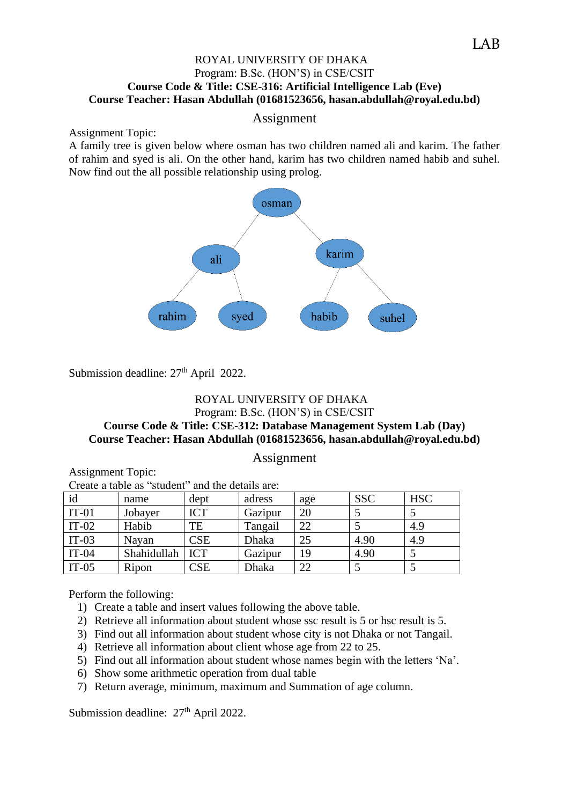# ROYAL UNIVERSITY OF DHAKA Program: B.Sc. (HON'S) in CSE/CSIT **Course Code & Title: CSE-316: Artificial Intelligence Lab (Eve) Course Teacher: Hasan Abdullah (01681523656, hasan.abdullah@royal.edu.bd)**

# Assignment

#### Assignment Topic:

A family tree is given below where osman has two children named ali and karim. The father of rahim and syed is ali. On the other hand, karim has two children named habib and suhel. Now find out the all possible relationship using prolog.



Submission deadline:  $27<sup>th</sup>$  April 2022.

# ROYAL UNIVERSITY OF DHAKA Program: B.Sc. (HON'S) in CSE/CSIT **Course Code & Title: CSE-312: Database Management System Lab (Day) Course Teacher: Hasan Abdullah (01681523656, hasan.abdullah@royal.edu.bd)**

#### Assignment

Assignment Topic: Create a table as "student" and the details are:

| id      | name              | dept       | adress       | age | <b>SSC</b> | <b>HSC</b> |
|---------|-------------------|------------|--------------|-----|------------|------------|
| $IT-01$ | Jobayer           | <b>ICT</b> | Gazipur      | 20  |            |            |
| $IT-02$ | Habib             | TE         | Tangail      | 22  |            | 4.9        |
| $IT-03$ | Navan             | <b>CSE</b> | <b>Dhaka</b> | 25  | 4.90       | 4.9        |
| $IT-04$ | Shahidullah   ICT |            | Gazipur      | 19  | 4.90       |            |
| $IT-05$ | Ripon             | CSE        | Dhaka        | 22  |            |            |

Perform the following:

- 1) Create a table and insert values following the above table.
- 2) Retrieve all information about student whose ssc result is 5 or hsc result is 5.
- 3) Find out all information about student whose city is not Dhaka or not Tangail.
- 4) Retrieve all information about client whose age from 22 to 25.
- 5) Find out all information about student whose names begin with the letters 'Na'.
- 6) Show some arithmetic operation from dual table
- 7) Return average, minimum, maximum and Summation of age column.

Submission deadline:  $27<sup>th</sup>$  April 2022.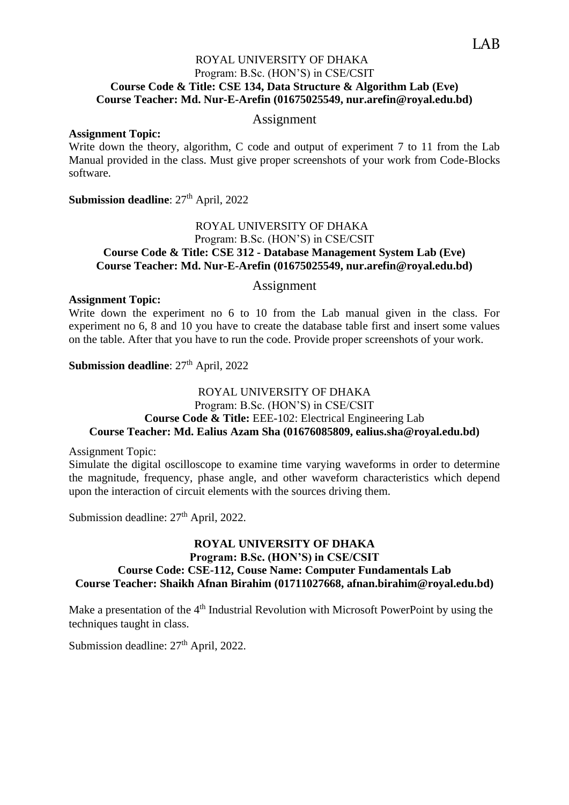# ROYAL UNIVERSITY OF DHAKA Program: B.Sc. (HON'S) in CSE/CSIT **Course Code & Title: CSE 134, Data Structure & Algorithm Lab (Eve) Course Teacher: Md. Nur-E-Arefin (01675025549, nur.arefin@royal.edu.bd)**

# Assignment

#### **Assignment Topic:**

Write down the theory, algorithm, C code and output of experiment 7 to 11 from the Lab Manual provided in the class. Must give proper screenshots of your work from Code-Blocks software.

**Submission deadline**:  $27<sup>th</sup>$  April, 2022

# ROYAL UNIVERSITY OF DHAKA Program: B.Sc. (HON'S) in CSE/CSIT **Course Code & Title: CSE 312 - Database Management System Lab (Eve) Course Teacher: Md. Nur-E-Arefin (01675025549, nur.arefin@royal.edu.bd)**

#### Assignment

#### **Assignment Topic:**

Write down the experiment no 6 to 10 from the Lab manual given in the class. For experiment no 6, 8 and 10 you have to create the database table first and insert some values on the table. After that you have to run the code. Provide proper screenshots of your work.

**Submission deadline: 27th April, 2022** 

## ROYAL UNIVERSITY OF DHAKA Program: B.Sc. (HON'S) in CSE/CSIT **Course Code & Title:** EEE-102: Electrical Engineering Lab **Course Teacher: Md. Ealius Azam Sha (01676085809, ealius.sha@royal.edu.bd)**

Assignment Topic:

Simulate the digital oscilloscope to examine time varying waveforms in order to determine the magnitude, frequency, phase angle, and other waveform characteristics which depend upon the interaction of circuit elements with the sources driving them.

Submission deadline:  $27<sup>th</sup>$  April, 2022.

# **ROYAL UNIVERSITY OF DHAKA Program: B.Sc. (HON'S) in CSE/CSIT Course Code: CSE-112, Couse Name: Computer Fundamentals Lab Course Teacher: Shaikh Afnan Birahim (01711027668, afnan.birahim@royal.edu.bd)**

Make a presentation of the  $4<sup>th</sup>$  Industrial Revolution with Microsoft PowerPoint by using the techniques taught in class.

Submission deadline:  $27<sup>th</sup>$  April, 2022.